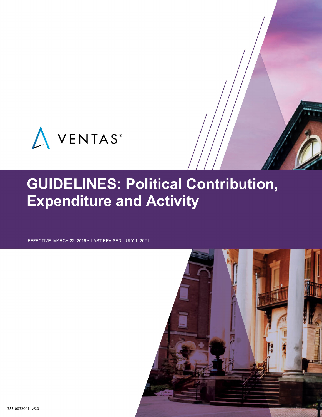

# **GUIDELINES: Political Contribution, Expenditure and Activity**

EFFECTIVE: MARCH 22, 2016 • LAST REVISED: JULY 1, 2021

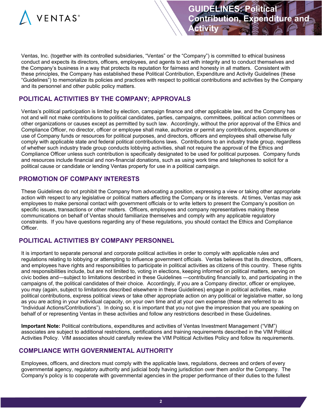

Ventas, Inc. (together with its controlled subsidiaries, "Ventas" or the "Company") is committed to ethical business conduct and expects its directors, officers, employees, and agents to act with integrity and to conduct themselves and the Company's business in a way that protects its reputation for fairness and honesty in all matters. Consistent with these principles, the Company has established these Political Contribution, Expenditure and Activity Guidelines (these "Guidelines") to memorialize its policies and practices with respect to political contributions and activities by the Company and its personnel and other public policy matters.

# **POLITICAL ACTIVITIES BY THE COMPANY; APPROVALS**

Ventas's political participation is limited by election, campaign finance and other applicable law, and the Company has not and will not make contributions to political candidates, parties, campaigns, committees, political action committees or other organizations or causes except as permitted by such law. Accordingly, without the prior approval of the Ethics and Compliance Officer, no director, officer or employee shall make, authorize or permit any contributions, expenditures or use of Company funds or resources for political purposes, and directors, officers and employees shall otherwise fully comply with applicable state and federal political contributions laws. Contributions to an industry trade group, regardless of whether such industry trade group conducts lobbying activities, shall not require the approval of the Ethics and Compliance Officer unless such contribution is specifically designated to be used for political purposes. Company funds and resources include financial and non-financial donations, such as using work time and telephones to solicit for a political cause or candidate or lending Ventas property for use in a political campaign.

# **PROMOTION OF COMPANY INTERESTS**

These Guidelines do not prohibit the Company from advocating a position, expressing a view or taking other appropriate action with respect to any legislative or political matters affecting the Company or its interests. At times, Ventas may ask employees to make personal contact with government officials or to write letters to present the Company's position on specific issues, transactions or other matters. Officers, employees and company representatives making these communications on behalf of Ventas should familiarize themselves and comply with any applicable regulatory constraints. If you have questions regarding any of these regulations, you should contact the Ethics and Compliance Officer.

# **POLITICAL ACTIVITIES BY COMPANY PERSONNEL**

It is important to separate personal and corporate political activities in order to comply with applicable rules and regulations relating to lobbying or attempting to influence government officials. Ventas believes that its directors, officers, and employees have rights and responsibilities to participate in political activities as citizens of this country. These rights and responsibilities include, but are not limited to, voting in elections, keeping informed on political matters, serving on civic bodies and—subject to limitations described in these Guidelines —contributing financially to, and participating in the campaigns of, the political candidates of their choice. Accordingly, if you are a Company director, officer or employee, you may (again, subject to limitations described elsewhere in these Guidelines) engage in political activities, make political contributions, express political views or take other appropriate action on any political or legislative matter, so long as you are acting in your individual capacity, on your own time and at your own expense (these are referred to as "Individual Actions/Contributions"). In doing so, it is important that you not give the impression that you are speaking on behalf of or representing Ventas in these activities and follow any restrictions described in these Guidelines.

**Important Note:** Political contributions, expenditures and activities of Ventas Investment Management ("VIM") associates are subject to additional restrictions, certifications and training requirements described in the VIM Political Activities Policy. VIM associates should carefully review the VIM Political Activities Policy and follow its requirements.

#### **COMPLIANCE WITH GOVERNMENTAL AUTHORITY**

Employees, officers, and directors must comply with the applicable laws, regulations, decrees and orders of every governmental agency, regulatory authority and judicial body having jurisdiction over them and/or the Company. The Company's policy is to cooperate with governmental agencies in the proper performance of their duties to the fullest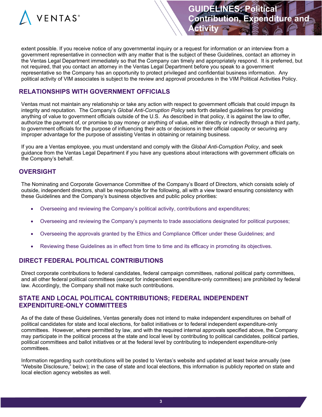

extent possible. If you receive notice of any governmental inquiry or a request for information or an interview from a government representative in connection with any matter that is the subject of these Guidelines, contact an attorney in the Ventas Legal Department immediately so that the Company can timely and appropriately respond. It is preferred, but not required, that you contact an attorney in the Ventas Legal Department before you speak to a government representative so the Company has an opportunity to protect privileged and confidential business information. Any political activity of VIM associates is subject to the review and approval procedures in the VIM Political Activities Policy.

**Activity**

## **RELATIONSHIPS WITH GOVERNMENT OFFICIALS**

Ventas must not maintain any relationship or take any action with respect to government officials that could impugn its integrity and reputation. The Company's *Global Anti-Corruption Policy* sets forth detailed guidelines for providing anything of value to government officials outside of the U.S. As described in that policy, it is against the law to offer, authorize the payment of, or promise to pay money or anything of value, either directly or indirectly through a third party, to government officials for the purpose of influencing their acts or decisions in their official capacity or securing any improper advantage for the purpose of assisting Ventas in obtaining or retaining business.

If you are a Ventas employee, you must understand and comply with the *Global Anti-Corruption Policy*, and seek guidance from the Ventas Legal Department if you have any questions about interactions with government officials on the Company's behalf.

#### **OVERSIGHT**

The Nominating and Corporate Governance Committee of the Company's Board of Directors, which consists solely of outside, independent directors, shall be responsible for the following, all with a view toward ensuring consistency with these Guidelines and the Company's business objectives and public policy priorities:

- Overseeing and reviewing the Company's political activity, contributions and expenditures;
- Overseeing and reviewing the Company's payments to trade associations designated for political purposes;
- Overseeing the approvals granted by the Ethics and Compliance Officer under these Guidelines; and
- Reviewing these Guidelines as in effect from time to time and its efficacy in promoting its objectives.

#### **DIRECT FEDERAL POLITICAL CONTRIBUTIONS**

Direct corporate contributions to federal candidates, federal campaign committees, national political party committees, and all other federal political committees (except for independent expenditure-only committees) are prohibited by federal law. Accordingly, the Company shall not make such contributions.

#### **STATE AND LOCAL POLITICAL CONTRIBUTIONS; FEDERAL INDEPENDENT EXPENDITURE-ONLY COMMITTEES**

As of the date of these Guidelines, Ventas generally does not intend to make independent expenditures on behalf of political candidates for state and local elections, for ballot initiatives or to federal independent expenditure-only committees. However, where permitted by law, and with the required internal approvals specified above, the Company may participate in the political process at the state and local level by contributing to political candidates, political parties, political committees and ballot initiatives or at the federal level by contributing to independent expenditure-only committees.

Information regarding such contributions will be posted to Ventas's website and updated at least twice annually (see "Website Disclosure," below); in the case of state and local elections, this information is publicly reported on state and local election agency websites as well.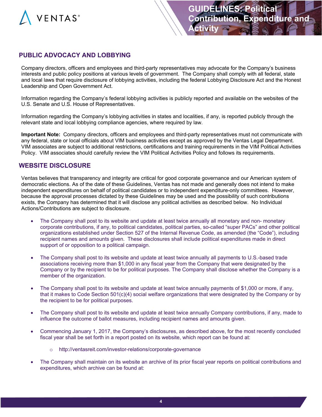

## **PUBLIC ADVOCACY AND LOBBYING**

Company directors, officers and employees and third-party representatives may advocate for the Company's business interests and public policy positions at various levels of government. The Company shall comply with all federal, state and local laws that require disclosure of lobbying activities, including the federal Lobbying Disclosure Act and the Honest Leadership and Open Government Act.

Information regarding the Company's federal lobbying activities is publicly reported and available on the websites of the U.S. Senate and U.S. House of Representatives.

Information regarding the Company's lobbying activities in states and localities, if any, is reported publicly through the relevant state and local lobbying compliance agencies, where required by law.

**Important Note:** Company directors, officers and employees and third-party representatives must not communicate with any federal, state or local officials about VIM business activities except as approved by the Ventas Legal Department. VIM associates are subject to additional restrictions, certifications and training requirements in the VIM Political Activities Policy. VIM associates should carefully review the VIM Political Activities Policy and follows its requirements.

#### **WEBSITE DISCLOSURE**

Ventas believes that transparency and integrity are critical for good corporate governance and our American system of democratic elections. As of the date of these Guidelines, Ventas has not made and generally does not intend to make independent expenditures on behalf of political candidates or to independent expenditure-only committees. However, because the approval processes dictated by these Guidelines may be used and the possibility of such contributions exists, the Company has determined that it will disclose any political activities as described below. No Individual Actions/Contributions are subject to disclosure.

- The Company shall post to its website and update at least twice annually all monetary and non- monetary corporate contributions, if any, to political candidates, political parties, so-called "super PACs" and other political organizations established under Section 527 of the Internal Revenue Code, as amended (the "Code"), including recipient names and amounts given. These disclosures shall include political expenditures made in direct support of or opposition to a political campaign.
- The Company shall post to its website and update at least twice annually all payments to U.S.-based trade associations receiving more than \$1,000 in any fiscal year from the Company that were designated by the Company or by the recipient to be for political purposes. The Company shall disclose whether the Company is a member of the organization.
- The Company shall post to its website and update at least twice annually payments of \$1,000 or more, if any, that it makes to Code Section 501(c)(4) social welfare organizations that were designated by the Company or by the recipient to be for political purposes.
- The Company shall post to its website and update at least twice annually Company contributions, if any, made to influence the outcome of ballot measures, including recipient names and amounts given.
- Commencing January 1, 2017, the Company's disclosures, as described above, for the most recently concluded fiscal year shall be set forth in a report posted on its website, which report can be found at:
	- o http://ventasreit.com/investor-relations/corporate-governance
- The Company shall maintain on its website an archive of its prior fiscal year reports on political contributions and expenditures, which archive can be found at: